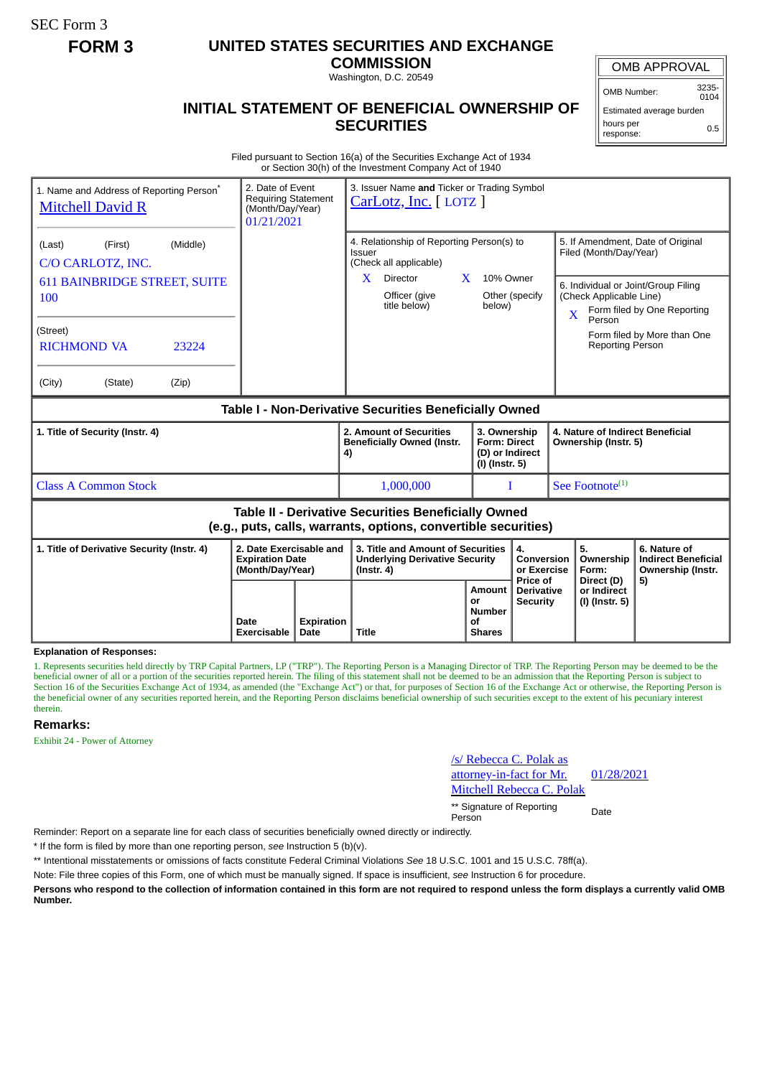SEC Form 3

# **FORM 3 UNITED STATES SECURITIES AND EXCHANGE**

**COMMISSION** Washington, D.C. 20549

## OMB APPROVAL

OMB Number: 3235-  $0104$ 

Estimated average burden hours per response: 0.5

# **INITIAL STATEMENT OF BENEFICIAL OWNERSHIP OF SECURITIES**

Filed pursuant to Section 16(a) of the Securities Exchange Act of 1934 or Section 30(h) of the Investment Company Act of 1940

| 1. Name and Address of Reporting Person <sup>*</sup><br><b>Mitchell David R</b>                                                                                           | 2. Date of Event<br><b>Requiring Statement</b><br>(Month/Day/Year)<br>01/21/2021 |                    | 3. Issuer Name and Ticker or Trading Symbol<br>CarLotz, Inc. [LOTZ]                                                                        |                                                                            |                                                         |              |                                                                                        |                                                                                                                                        |  |  |  |
|---------------------------------------------------------------------------------------------------------------------------------------------------------------------------|----------------------------------------------------------------------------------|--------------------|--------------------------------------------------------------------------------------------------------------------------------------------|----------------------------------------------------------------------------|---------------------------------------------------------|--------------|----------------------------------------------------------------------------------------|----------------------------------------------------------------------------------------------------------------------------------------|--|--|--|
| (Middle)<br>(Last)<br>(First)<br>C/O CARLOTZ, INC.<br><b>611 BAINBRIDGE STREET, SUITE</b><br>100<br>(Street)<br><b>RICHMOND VA</b><br>23224<br>(City)<br>(State)<br>(Zip) |                                                                                  |                    | 4. Relationship of Reporting Person(s) to<br>Issuer<br>(Check all applicable)<br>$\mathbf{X}$<br>Director<br>Officer (give<br>title below) | $\mathbf{X}$<br>10% Owner<br>below)                                        | Other (specify                                          | $\mathbf{X}$ | Filed (Month/Day/Year)<br>(Check Applicable Line)<br>Person<br><b>Reporting Person</b> | 5. If Amendment, Date of Original<br>6. Individual or Joint/Group Filing<br>Form filed by One Reporting<br>Form filed by More than One |  |  |  |
| Table I - Non-Derivative Securities Beneficially Owned                                                                                                                    |                                                                                  |                    |                                                                                                                                            |                                                                            |                                                         |              |                                                                                        |                                                                                                                                        |  |  |  |
| 1. Title of Security (Instr. 4)                                                                                                                                           |                                                                                  |                    | 2. Amount of Securities<br><b>Beneficially Owned (Instr.</b><br>4)                                                                         | 3. Ownership<br><b>Form: Direct</b><br>(D) or Indirect<br>$(I)$ (Instr. 5) |                                                         |              | 4. Nature of Indirect Beneficial<br>Ownership (Instr. 5)                               |                                                                                                                                        |  |  |  |
| <b>Class A Common Stock</b>                                                                                                                                               |                                                                                  |                    | 1,000,000                                                                                                                                  |                                                                            | T                                                       |              | See Footnote <sup>(1)</sup>                                                            |                                                                                                                                        |  |  |  |
| Table II - Derivative Securities Beneficially Owned<br>(e.g., puts, calls, warrants, options, convertible securities)                                                     |                                                                                  |                    |                                                                                                                                            |                                                                            |                                                         |              |                                                                                        |                                                                                                                                        |  |  |  |
| 1. Title of Derivative Security (Instr. 4)                                                                                                                                | 2. Date Exercisable and<br><b>Expiration Date</b><br>(Month/Day/Year)            |                    | 3. Title and Amount of Securities<br><b>Underlying Derivative Security</b><br>$($ lnstr. 4 $)$                                             |                                                                            | 4.<br>Conversion<br>or Exercise                         |              | 5.<br>Ownership<br>Form:                                                               | 6. Nature of<br><b>Indirect Beneficial</b><br>Ownership (Instr.                                                                        |  |  |  |
|                                                                                                                                                                           | Date<br>Exercisable                                                              | Expiration<br>Date | <b>Title</b>                                                                                                                               | Amount<br>or<br><b>Number</b><br>of<br><b>Shares</b>                       | <b>Price of</b><br><b>Derivative</b><br><b>Security</b> |              | Direct (D)<br>or Indirect<br>(I) (Instr. 5)                                            | 5)                                                                                                                                     |  |  |  |

**Explanation of Responses:**

1. Represents securities held directly by TRP Capital Partners, LP ("TRP"). The Reporting Person is a Managing Director of TRP. The Reporting Person may be deemed to be the beneficial owner of all or a portion of the securities reported herein. The filing of this statement shall not be deemed to be an admission that the Reporting Person is subject to Section 16 of the Securities Exchange Act of 1934, as amended (the "Exchange Act") or that, for purposes of Section 16 of the Exchange Act or otherwise, the Reporting Person is the beneficial owner of any securities reported herein, and the Reporting Person disclaims beneficial ownership of such securities except to the extent of his pecuniary interest therein.

#### **Remarks:**

Exhibit 24 - Power of Attorney

/s/ Rebecca C. Polak as attorney-in-fact for Mr. Mitchell Rebecca C. Polak

01/28/2021

\*\* Signature of Reporting Person Date

Reminder: Report on a separate line for each class of securities beneficially owned directly or indirectly.

\* If the form is filed by more than one reporting person, *see* Instruction 5 (b)(v).

\*\* Intentional misstatements or omissions of facts constitute Federal Criminal Violations *See* 18 U.S.C. 1001 and 15 U.S.C. 78ff(a).

Note: File three copies of this Form, one of which must be manually signed. If space is insufficient, *see* Instruction 6 for procedure.

**Persons who respond to the collection of information contained in this form are not required to respond unless the form displays a currently valid OMB Number.**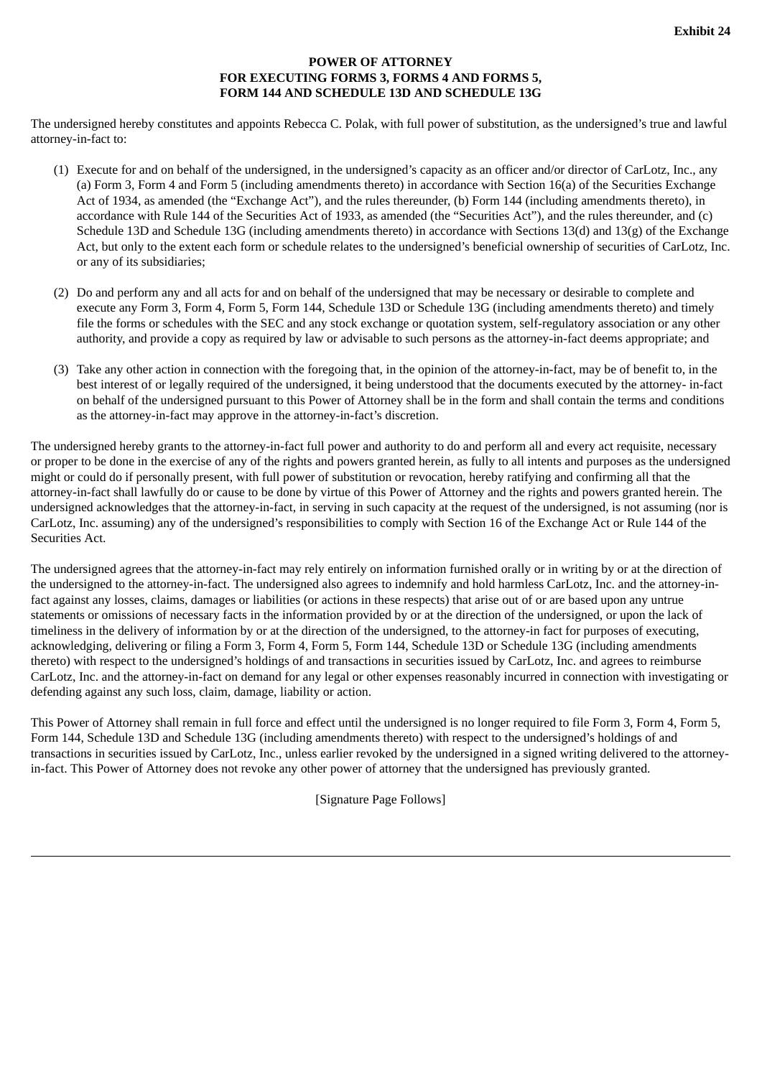### **POWER OF ATTORNEY FOR EXECUTING FORMS 3, FORMS 4 AND FORMS 5, FORM 144 AND SCHEDULE 13D AND SCHEDULE 13G**

The undersigned hereby constitutes and appoints Rebecca C. Polak, with full power of substitution, as the undersigned's true and lawful attorney-in-fact to:

- (1) Execute for and on behalf of the undersigned, in the undersigned's capacity as an officer and/or director of CarLotz, Inc., any (a) Form 3, Form 4 and Form 5 (including amendments thereto) in accordance with Section 16(a) of the Securities Exchange Act of 1934, as amended (the "Exchange Act"), and the rules thereunder, (b) Form 144 (including amendments thereto), in accordance with Rule 144 of the Securities Act of 1933, as amended (the "Securities Act"), and the rules thereunder, and (c) Schedule 13D and Schedule 13G (including amendments thereto) in accordance with Sections 13(d) and 13(g) of the Exchange Act, but only to the extent each form or schedule relates to the undersigned's beneficial ownership of securities of CarLotz, Inc. or any of its subsidiaries;
- (2) Do and perform any and all acts for and on behalf of the undersigned that may be necessary or desirable to complete and execute any Form 3, Form 4, Form 5, Form 144, Schedule 13D or Schedule 13G (including amendments thereto) and timely file the forms or schedules with the SEC and any stock exchange or quotation system, self-regulatory association or any other authority, and provide a copy as required by law or advisable to such persons as the attorney-in-fact deems appropriate; and
- (3) Take any other action in connection with the foregoing that, in the opinion of the attorney-in-fact, may be of benefit to, in the best interest of or legally required of the undersigned, it being understood that the documents executed by the attorney- in-fact on behalf of the undersigned pursuant to this Power of Attorney shall be in the form and shall contain the terms and conditions as the attorney-in-fact may approve in the attorney-in-fact's discretion.

The undersigned hereby grants to the attorney-in-fact full power and authority to do and perform all and every act requisite, necessary or proper to be done in the exercise of any of the rights and powers granted herein, as fully to all intents and purposes as the undersigned might or could do if personally present, with full power of substitution or revocation, hereby ratifying and confirming all that the attorney-in-fact shall lawfully do or cause to be done by virtue of this Power of Attorney and the rights and powers granted herein. The undersigned acknowledges that the attorney-in-fact, in serving in such capacity at the request of the undersigned, is not assuming (nor is CarLotz, Inc. assuming) any of the undersigned's responsibilities to comply with Section 16 of the Exchange Act or Rule 144 of the Securities Act.

The undersigned agrees that the attorney-in-fact may rely entirely on information furnished orally or in writing by or at the direction of the undersigned to the attorney-in-fact. The undersigned also agrees to indemnify and hold harmless CarLotz, Inc. and the attorney-infact against any losses, claims, damages or liabilities (or actions in these respects) that arise out of or are based upon any untrue statements or omissions of necessary facts in the information provided by or at the direction of the undersigned, or upon the lack of timeliness in the delivery of information by or at the direction of the undersigned, to the attorney-in fact for purposes of executing, acknowledging, delivering or filing a Form 3, Form 4, Form 5, Form 144, Schedule 13D or Schedule 13G (including amendments thereto) with respect to the undersigned's holdings of and transactions in securities issued by CarLotz, Inc. and agrees to reimburse CarLotz, Inc. and the attorney-in-fact on demand for any legal or other expenses reasonably incurred in connection with investigating or defending against any such loss, claim, damage, liability or action.

This Power of Attorney shall remain in full force and effect until the undersigned is no longer required to file Form 3, Form 4, Form 5, Form 144, Schedule 13D and Schedule 13G (including amendments thereto) with respect to the undersigned's holdings of and transactions in securities issued by CarLotz, Inc., unless earlier revoked by the undersigned in a signed writing delivered to the attorneyin-fact. This Power of Attorney does not revoke any other power of attorney that the undersigned has previously granted.

[Signature Page Follows]